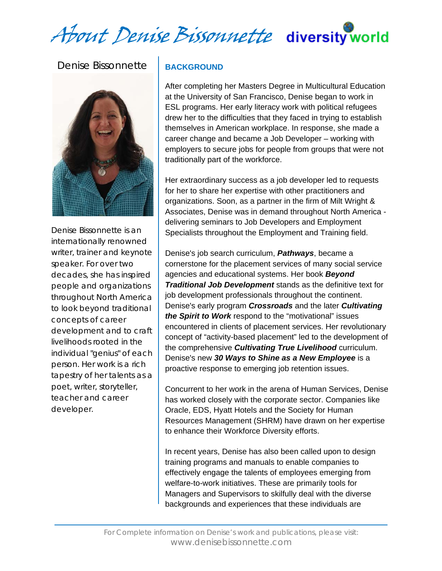About Denise Bissonnette diversity world

# Denise Bissonnette



Denise Bissonnette is an internationally renowned writer, trainer and keynote speaker. For over two decades, she has inspired people and organizations throughout North America to look beyond traditional concepts of career development and to craft livelihoods rooted in the individual "genius" of each person. Her work is a rich tapestry of her talents as a poet, writer, storyteller, teacher and career developer.

### **BACKGROUND**

After completing her Masters Degree in Multicultural Education at the University of San Francisco, Denise began to work in ESL programs. Her early literacy work with political refugees drew her to the difficulties that they faced in trying to establish themselves in American workplace. In response, she made a career change and became a Job Developer – working with employers to secure jobs for people from groups that were not traditionally part of the workforce.

Her extraordinary success as a job developer led to requests for her to share her expertise with other practitioners and organizations. Soon, as a partner in the firm of Milt Wright & Associates, Denise was in demand throughout North America delivering seminars to Job Developers and Employment Specialists throughout the Employment and Training field.

Denise's job search curriculum, *Pathways*, became a cornerstone for the placement services of many social service agencies and educational systems. Her book *Beyond Traditional Job Development* stands as the definitive text for job development professionals throughout the continent. Denise's early program *Crossroads* and the later *Cultivating the Spirit to Work* respond to the "motivational" issues encountered in clients of placement services. Her revolutionary concept of "activity-based placement" led to the development of the comprehensive *Cultivating True Livelihood* curriculum. Denise's new *30 Ways to Shine as a New Employee* is a proactive response to emerging job retention issues.

Concurrent to her work in the arena of Human Services, Denise has worked closely with the corporate sector. Companies like Oracle, EDS, Hyatt Hotels and the Society for Human Resources Management (SHRM) have drawn on her expertise to enhance their Workforce Diversity efforts.

In recent years, Denise has also been called upon to design training programs and manuals to enable companies to effectively engage the talents of employees emerging from welfare-to-work initiatives. These are primarily tools for Managers and Supervisors to skilfully deal with the diverse backgrounds and experiences that these individuals are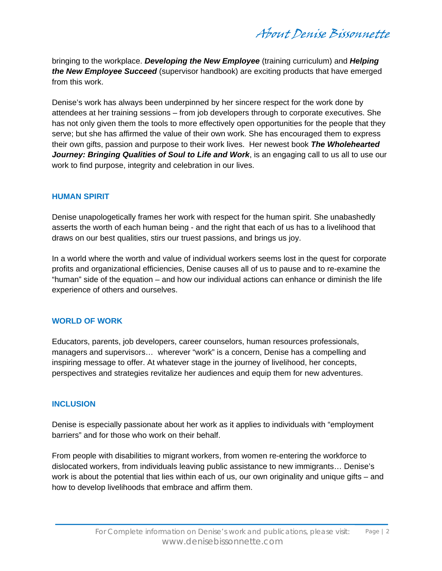About Denise Bissonnette

bringing to the workplace. *Developing the New Employee* (training curriculum) and *Helping the New Employee Succeed* (supervisor handbook) are exciting products that have emerged from this work.

Denise's work has always been underpinned by her sincere respect for the work done by attendees at her training sessions – from job developers through to corporate executives. She has not only given them the tools to more effectively open opportunities for the people that they serve; but she has affirmed the value of their own work. She has encouraged them to express their own gifts, passion and purpose to their work lives. Her newest book *The Wholehearted*  **Journey: Bringing Qualities of Soul to Life and Work**, is an engaging call to us all to use our work to find purpose, integrity and celebration in our lives.

#### **HUMAN SPIRIT**

Denise unapologetically frames her work with respect for the human spirit. She unabashedly asserts the worth of each human being - and the right that each of us has to a livelihood that draws on our best qualities, stirs our truest passions, and brings us joy.

In a world where the worth and value of individual workers seems lost in the quest for corporate profits and organizational efficiencies, Denise causes all of us to pause and to re-examine the "human" side of the equation – and how our individual actions can enhance or diminish the life experience of others and ourselves.

### **WORLD OF WORK**

Educators, parents, job developers, career counselors, human resources professionals, managers and supervisors… wherever "work" is a concern, Denise has a compelling and inspiring message to offer. At whatever stage in the journey of livelihood, her concepts, perspectives and strategies revitalize her audiences and equip them for new adventures.

#### **INCLUSION**

Denise is especially passionate about her work as it applies to individuals with "employment barriers" and for those who work on their behalf.

From people with disabilities to migrant workers, from women re-entering the workforce to dislocated workers, from individuals leaving public assistance to new immigrants… Denise's work is about the potential that lies within each of us, our own originality and unique gifts – and how to develop livelihoods that embrace and affirm them.